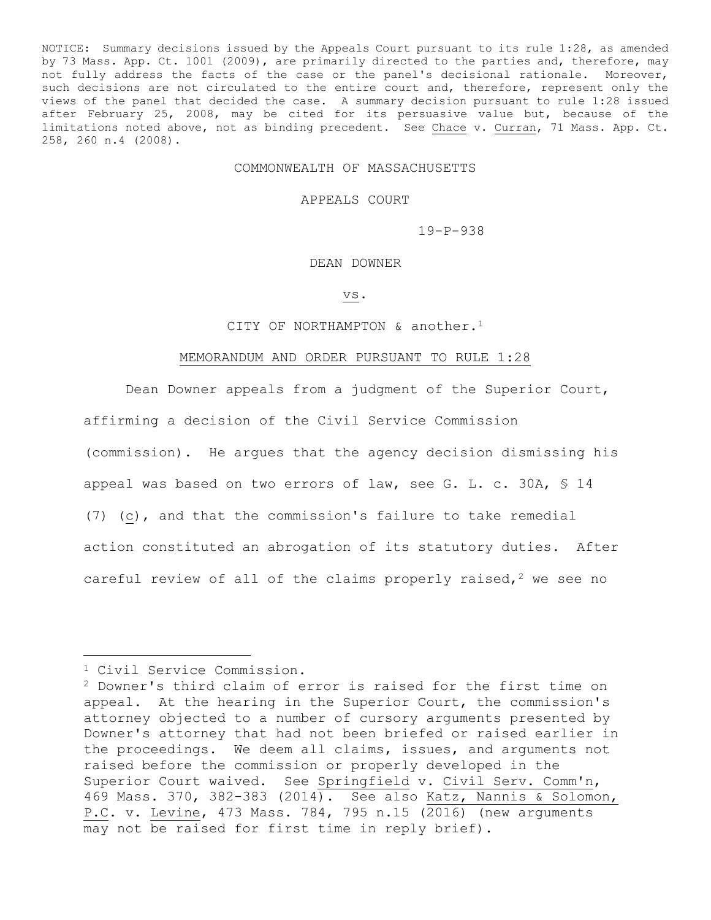NOTICE: Summary decisions issued by the Appeals Court pursuant to its rule 1:28, as amended by 73 Mass. App. Ct. 1001 (2009), are primarily directed to the parties and, therefore, may not fully address the facts of the case or the panel's decisional rationale. Moreover, such decisions are not circulated to the entire court and, therefore, represent only the views of the panel that decided the case. A summary decision pursuant to rule 1:28 issued after February 25, 2008, may be cited for its persuasive value but, because of the limitations noted above, not as binding precedent. See Chace v. Curran, 71 Mass. App. Ct. 258, 260 n.4 (2008).

## COMMONWEALTH OF MASSACHUSETTS

APPEALS COURT

19-P-938

## DEAN DOWNER

vs.

## CITY OF NORTHAMPTON & another.<sup>1</sup>

## MEMORANDUM AND ORDER PURSUANT TO RULE 1:28

Dean Downer appeals from a judgment of the Superior Court, affirming a decision of the Civil Service Commission (commission). He argues that the agency decision dismissing his appeal was based on two errors of law, see G. L. c. 30A, § 14 (7) (c), and that the commission's failure to take remedial action constituted an abrogation of its statutory duties. After careful review of all of the claims properly raised,<sup>2</sup> we see no

÷.

<sup>1</sup> Civil Service Commission.

<sup>2</sup> Downer's third claim of error is raised for the first time on appeal. At the hearing in the Superior Court, the commission's attorney objected to a number of cursory arguments presented by Downer's attorney that had not been briefed or raised earlier in the proceedings. We deem all claims, issues, and arguments not raised before the commission or properly developed in the Superior Court waived. See Springfield v. Civil Serv. Comm'n, 469 Mass. 370, 382-383 (2014). See also Katz, Nannis & Solomon, P.C. v. Levine, 473 Mass. 784, 795 n.15 (2016) (new arguments may not be raised for first time in reply brief).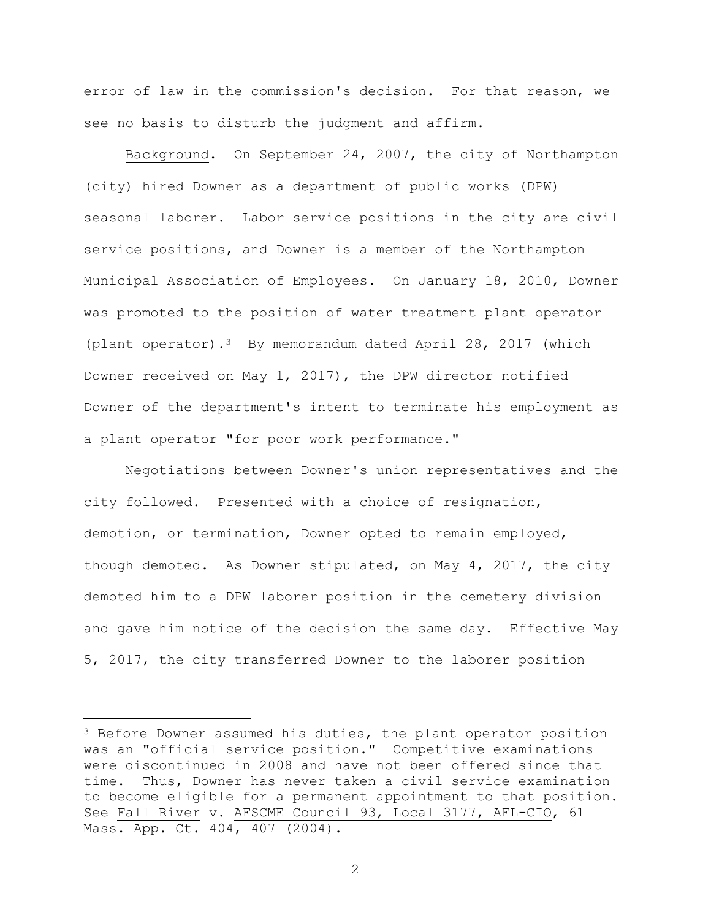error of law in the commission's decision. For that reason, we see no basis to disturb the judgment and affirm.

Background. On September 24, 2007, the city of Northampton (city) hired Downer as a department of public works (DPW) seasonal laborer. Labor service positions in the city are civil service positions, and Downer is a member of the Northampton Municipal Association of Employees. On January 18, 2010, Downer was promoted to the position of water treatment plant operator (plant operator).3 By memorandum dated April 28, 2017 (which Downer received on May 1, 2017), the DPW director notified Downer of the department's intent to terminate his employment as a plant operator "for poor work performance."

Negotiations between Downer's union representatives and the city followed. Presented with a choice of resignation, demotion, or termination, Downer opted to remain employed, though demoted. As Downer stipulated, on May 4, 2017, the city demoted him to a DPW laborer position in the cemetery division and gave him notice of the decision the same day. Effective May 5, 2017, the city transferred Downer to the laborer position

÷.

<sup>&</sup>lt;sup>3</sup> Before Downer assumed his duties, the plant operator position was an "official service position." Competitive examinations were discontinued in 2008 and have not been offered since that time. Thus, Downer has never taken a civil service examination to become eligible for a permanent appointment to that position. See Fall River v. AFSCME Council 93, Local 3177, AFL-CIO, 61 Mass. App. Ct. 404, 407 (2004).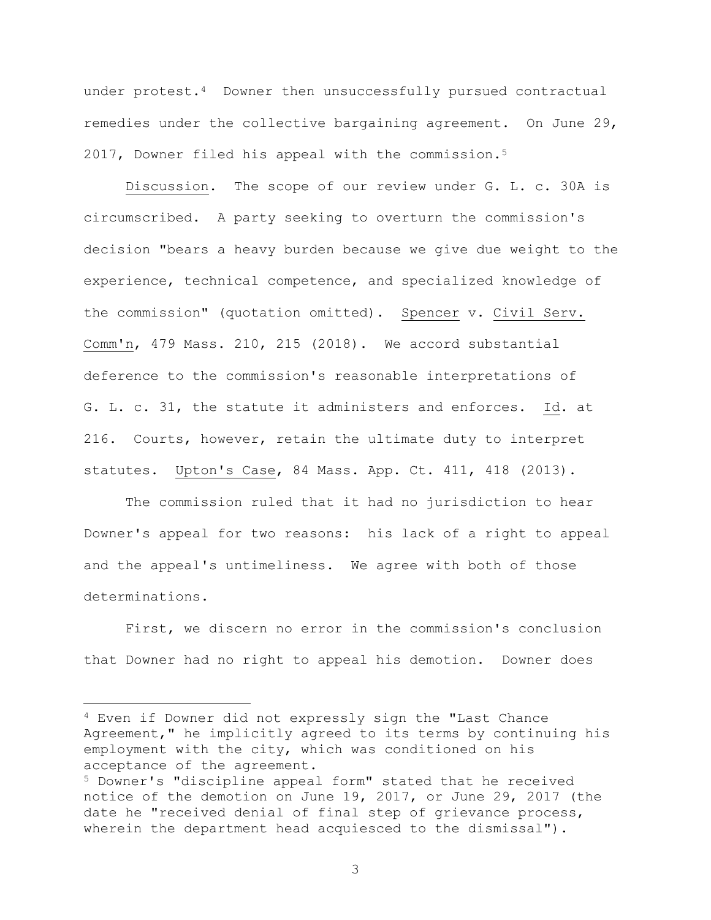under protest.4 Downer then unsuccessfully pursued contractual remedies under the collective bargaining agreement. On June 29, 2017, Downer filed his appeal with the commission.<sup>5</sup>

Discussion. The scope of our review under G. L. c. 30A is circumscribed. A party seeking to overturn the commission's decision "bears a heavy burden because we give due weight to the experience, technical competence, and specialized knowledge of the commission" (quotation omitted). Spencer v. Civil Serv. Comm'n, 479 Mass. 210, 215 (2018). We accord substantial deference to the commission's reasonable interpretations of G. L. c. 31, the statute it administers and enforces. Id. at 216. Courts, however, retain the ultimate duty to interpret statutes. Upton's Case, 84 Mass. App. Ct. 411, 418 (2013).

The commission ruled that it had no jurisdiction to hear Downer's appeal for two reasons: his lack of a right to appeal and the appeal's untimeliness. We agree with both of those determinations.

First, we discern no error in the commission's conclusion that Downer had no right to appeal his demotion. Downer does

÷.

<sup>4</sup> Even if Downer did not expressly sign the "Last Chance Agreement," he implicitly agreed to its terms by continuing his employment with the city, which was conditioned on his acceptance of the agreement.

<sup>5</sup> Downer's "discipline appeal form" stated that he received notice of the demotion on June 19, 2017, or June 29, 2017 (the date he "received denial of final step of grievance process, wherein the department head acquiesced to the dismissal").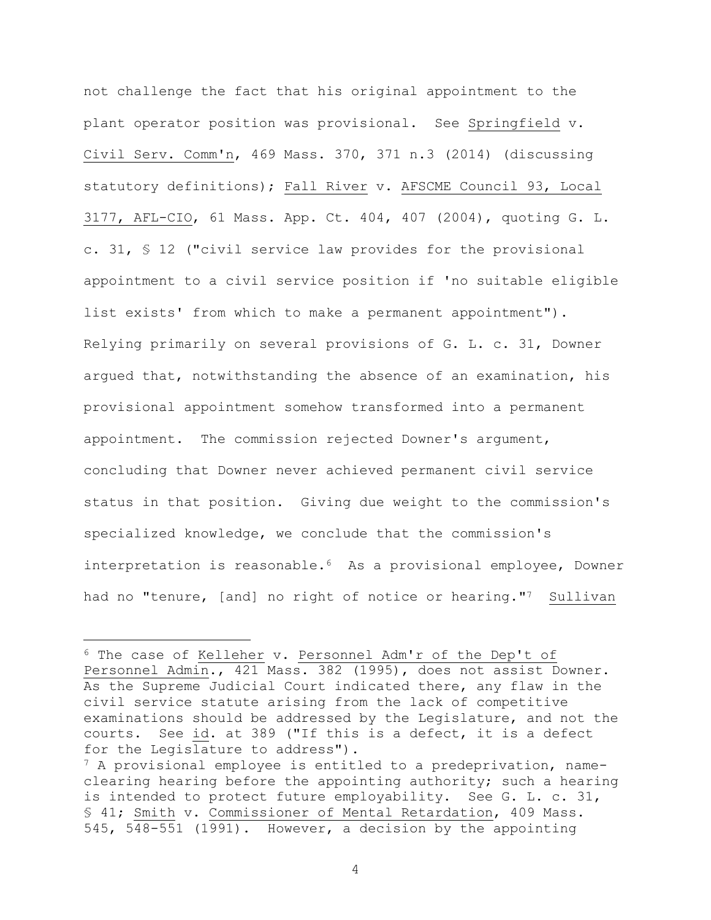not challenge the fact that his original appointment to the plant operator position was provisional. See Springfield v. Civil Serv. Comm'n, 469 Mass. 370, 371 n.3 (2014) (discussing statutory definitions); Fall River v. AFSCME Council 93, Local 3177, AFL-CIO, 61 Mass. App. Ct. 404, 407 (2004), quoting G. L. c. 31, § 12 ("civil service law provides for the provisional appointment to a civil service position if 'no suitable eligible list exists' from which to make a permanent appointment"). Relying primarily on several provisions of G. L. c. 31, Downer argued that, notwithstanding the absence of an examination, his provisional appointment somehow transformed into a permanent appointment. The commission rejected Downer's argument, concluding that Downer never achieved permanent civil service status in that position. Giving due weight to the commission's specialized knowledge, we conclude that the commission's interpretation is reasonable.<sup>6</sup> As a provisional employee, Downer had no "tenure, [and] no right of notice or hearing."7 Sullivan

÷.

<sup>6</sup> The case of Kelleher v. Personnel Adm'r of the Dep't of Personnel Admin., 421 Mass. 382 (1995), does not assist Downer. As the Supreme Judicial Court indicated there, any flaw in the civil service statute arising from the lack of competitive examinations should be addressed by the Legislature, and not the courts. See id. at 389 ("If this is a defect, it is a defect for the Legislature to address").

<sup>&</sup>lt;sup>7</sup> A provisional employee is entitled to a predeprivation, nameclearing hearing before the appointing authority; such a hearing is intended to protect future employability. See G. L. c. 31, § 41; Smith v. Commissioner of Mental Retardation, 409 Mass. 545, 548-551 (1991). However, a decision by the appointing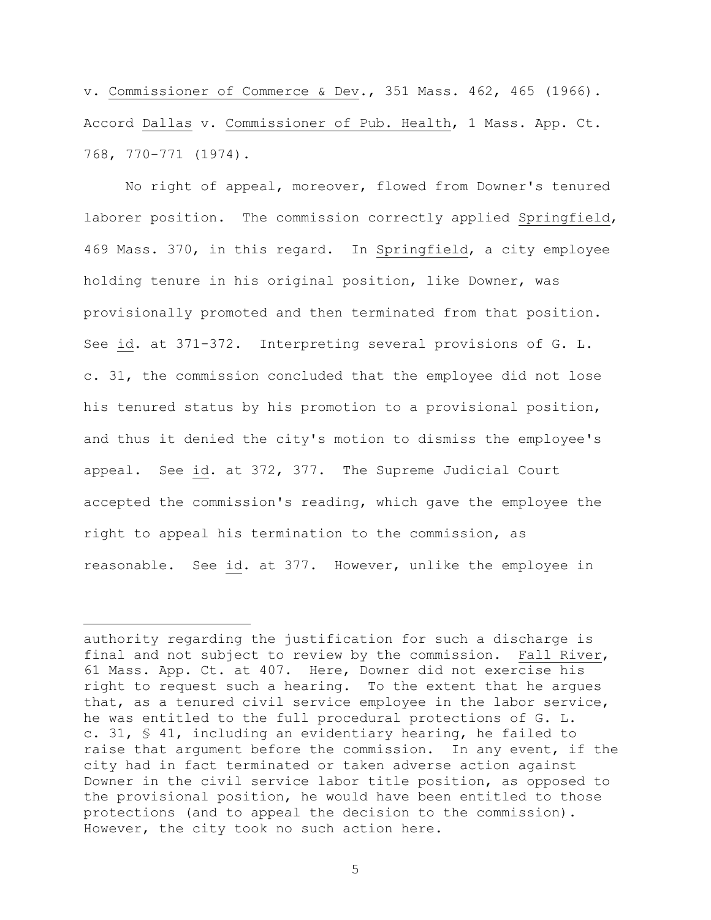v. Commissioner of Commerce & Dev., 351 Mass. 462, 465 (1966). Accord Dallas v. Commissioner of Pub. Health, 1 Mass. App. Ct. 768, 770-771 (1974).

No right of appeal, moreover, flowed from Downer's tenured laborer position. The commission correctly applied Springfield, 469 Mass. 370, in this regard. In Springfield, a city employee holding tenure in his original position, like Downer, was provisionally promoted and then terminated from that position. See id. at 371-372. Interpreting several provisions of G. L. c. 31, the commission concluded that the employee did not lose his tenured status by his promotion to a provisional position, and thus it denied the city's motion to dismiss the employee's appeal. See id. at 372, 377. The Supreme Judicial Court accepted the commission's reading, which gave the employee the right to appeal his termination to the commission, as reasonable. See id. at 377. However, unlike the employee in

÷.

authority regarding the justification for such a discharge is final and not subject to review by the commission. Fall River, 61 Mass. App. Ct. at 407. Here, Downer did not exercise his right to request such a hearing. To the extent that he argues that, as a tenured civil service employee in the labor service, he was entitled to the full procedural protections of G. L. c. 31, § 41, including an evidentiary hearing, he failed to raise that argument before the commission. In any event, if the city had in fact terminated or taken adverse action against Downer in the civil service labor title position, as opposed to the provisional position, he would have been entitled to those protections (and to appeal the decision to the commission). However, the city took no such action here.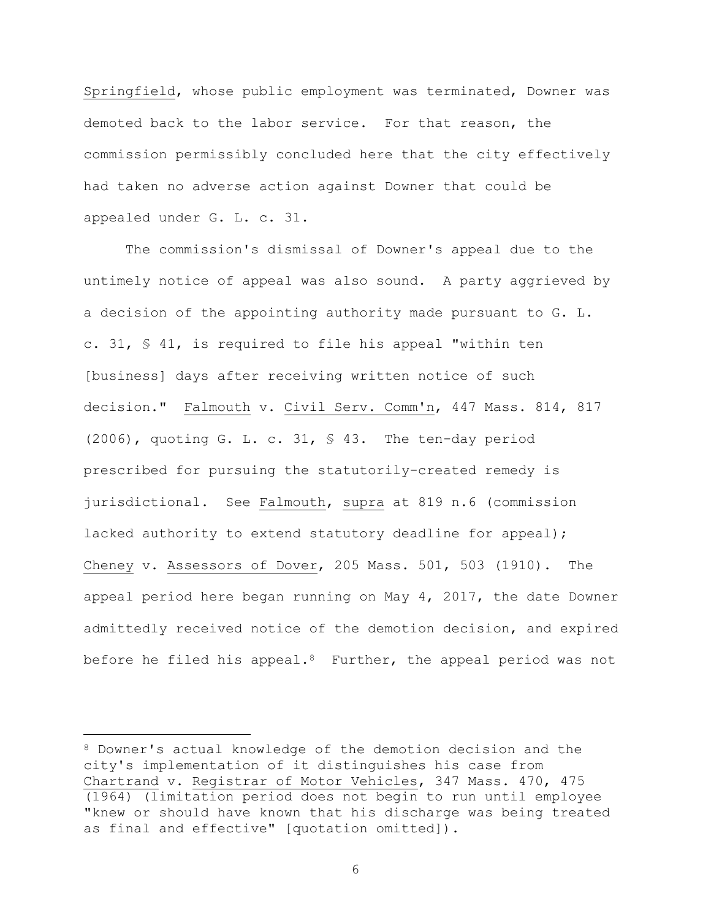Springfield, whose public employment was terminated, Downer was demoted back to the labor service. For that reason, the commission permissibly concluded here that the city effectively had taken no adverse action against Downer that could be appealed under G. L. c. 31.

The commission's dismissal of Downer's appeal due to the untimely notice of appeal was also sound. A party aggrieved by a decision of the appointing authority made pursuant to G. L. c. 31, § 41, is required to file his appeal "within ten [business] days after receiving written notice of such decision." Falmouth v. Civil Serv. Comm'n, 447 Mass. 814, 817 (2006), quoting G. L. c. 31, § 43. The ten-day period prescribed for pursuing the statutorily-created remedy is jurisdictional. See Falmouth, supra at 819 n.6 (commission lacked authority to extend statutory deadline for appeal); Cheney v. Assessors of Dover, 205 Mass. 501, 503 (1910). The appeal period here began running on May 4, 2017, the date Downer admittedly received notice of the demotion decision, and expired before he filed his appeal. $8$  Further, the appeal period was not

÷.

<sup>8</sup> Downer's actual knowledge of the demotion decision and the city's implementation of it distinguishes his case from Chartrand v. Registrar of Motor Vehicles, 347 Mass. 470, 475 (1964) (limitation period does not begin to run until employee "knew or should have known that his discharge was being treated as final and effective" [quotation omitted]).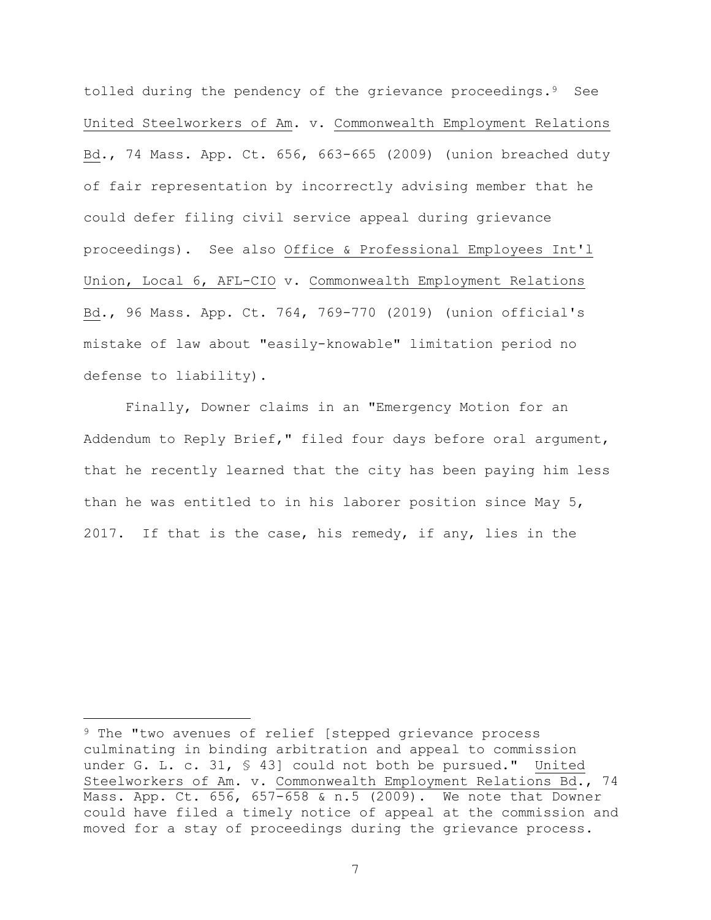tolled during the pendency of the grievance proceedings.<sup>9</sup> See United Steelworkers of Am. v. Commonwealth Employment Relations Bd., 74 Mass. App. Ct. 656, 663-665 (2009) (union breached duty of fair representation by incorrectly advising member that he could defer filing civil service appeal during grievance proceedings). See also Office & Professional Employees Int'l Union, Local 6, AFL-CIO v. Commonwealth Employment Relations Bd., 96 Mass. App. Ct. 764, 769-770 (2019) (union official's mistake of law about "easily-knowable" limitation period no defense to liability).

Finally, Downer claims in an "Emergency Motion for an Addendum to Reply Brief," filed four days before oral argument, that he recently learned that the city has been paying him less than he was entitled to in his laborer position since May 5, 2017. If that is the case, his remedy, if any, lies in the

÷.

<sup>9</sup> The "two avenues of relief [stepped grievance process culminating in binding arbitration and appeal to commission under G. L. c. 31, § 43] could not both be pursued." United Steelworkers of Am. v. Commonwealth Employment Relations Bd., 74 Mass. App. Ct. 656, 657-658 & n.5 (2009). We note that Downer could have filed a timely notice of appeal at the commission and moved for a stay of proceedings during the grievance process.